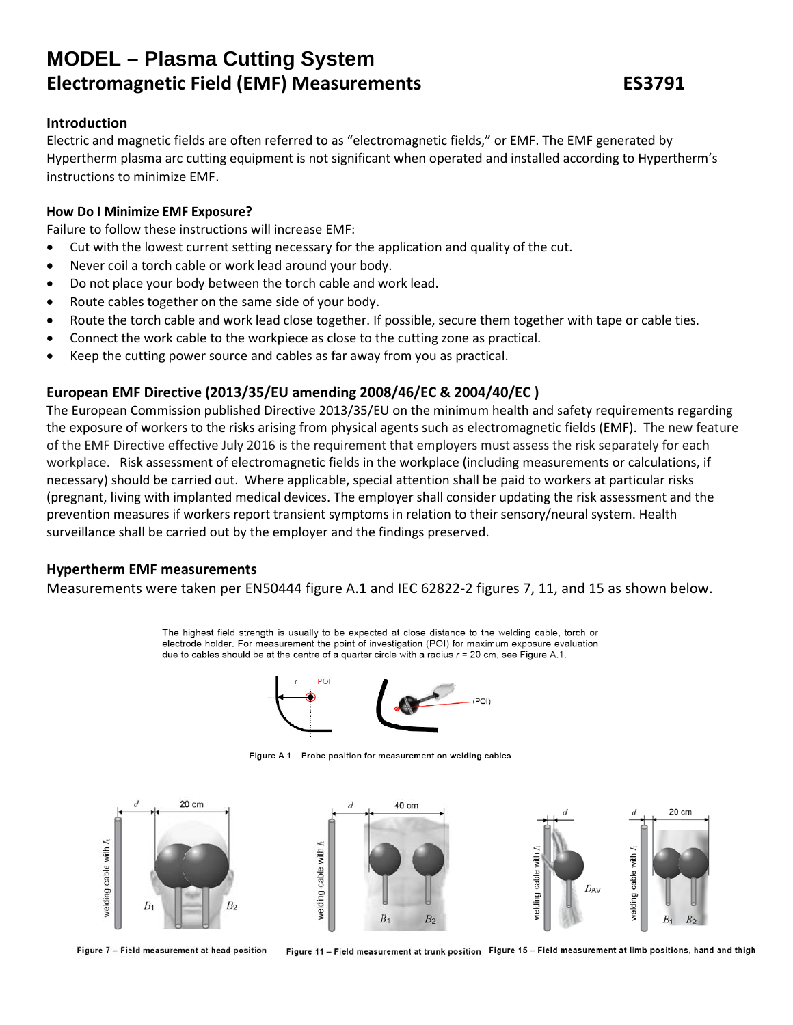# **MODEL – Plasma Cutting System Electromagnetic Field (EMF) Measurements ES3791**

#### **Introduction**

Electric and magnetic fields are often referred to as "electromagnetic fields," or EMF. The EMF generated by Hypertherm plasma arc cutting equipment is not significant when operated and installed according to Hypertherm's instructions to minimize EMF.

#### **How Do I Minimize EMF Exposure?**

Failure to follow these instructions will increase EMF:

- Cut with the lowest current setting necessary for the application and quality of the cut.
- Never coil a torch cable or work lead around your body.
- Do not place your body between the torch cable and work lead.
- Route cables together on the same side of your body.
- Route the torch cable and work lead close together. If possible, secure them together with tape or cable ties.
- Connect the work cable to the workpiece as close to the cutting zone as practical.
- Keep the cutting power source and cables as far away from you as practical.

### **European EMF Directive (2013/35/EU amending 2008/46/EC & 2004/40/EC )**

The European Commission published Directive 2013/35/EU on the minimum health and safety requirements regarding the exposure of workers to the risks arising from physical agents such as electromagnetic fields (EMF). The new feature of the EMF Directive effective July 2016 is the requirement that employers must assess the risk separately for each workplace. Risk assessment of electromagnetic fields in the workplace (including measurements or calculations, if necessary) should be carried out. Where applicable, special attention shall be paid to workers at particular risks (pregnant, living with implanted medical devices. The employer shall consider updating the risk assessment and the prevention measures if workers report transient symptoms in relation to their sensory/neural system. Health surveillance shall be carried out by the employer and the findings preserved.

#### **Hypertherm EMF measurements**

Measurements were taken per EN50444 figure A.1 and IEC 62822-2 figures 7, 11, and 15 as shown below.

The highest field strength is usually to be expected at close distance to the welding cable, torch or electrode holder. For measurement the point of investigation (POI) for maximum exposure evaluation due to cables should be at the centre of a quarter circle with a radius  $r = 20$  cm, see Figure A.1.



Figure A.1 - Probe position for measurement on welding cables



Figure 7 - Field measurement at head position

Figure 11 - Field measurement at trunk position Figure 15 - Field measurement at limb positions, hand and thigh